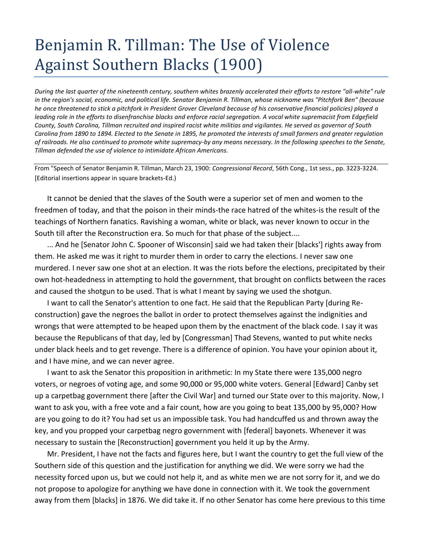## Benjamin R. Tillman: The Use of Violence Against Southern Blacks (1900)

*During the last quarter of the nineteenth century, southern whites brazenly accelerated their efforts to restore "all-white" rule in the region's social, economic, and political life. Senator Benjamin R. Tillman, whose nickname was "Pitchfork Ben" (because he once threatened to stick a pitchfork in President Grover Cleveland because of his conservative financial policies) played a leading role in the efforts to disenfranchise blacks and enforce racial segregation. A vocal white supremacist from Edgefield County, South Carolina, Tillman recruited and inspired racist white militias and vigilantes. He served as governor of South Carolina from 1890 to 1894. Elected to the Senate in 1895, he promoted the interests of small farmers and greater regulation of railroads. He also continued to promote white supremacy-by any means necessary. In the following speeches to the Senate, Tillman defended the use of violence to intimidate African Americans.*

From "Speech of Senator Benjamin R. Tillman, March 23, 1900: *Congressional Record*, 56th Cong., 1st sess., pp. 3223-3224. [Editorial insertions appear in square brackets-Ed.)

It cannot be denied that the slaves of the South were a superior set of men and women to the freedmen of today, and that the poison in their minds-the race hatred of the whites-is the result of the teachings of Northern fanatics. Ravishing a woman, white or black, was never known to occur in the South till after the Reconstruction era. So much for that phase of the subject....

... And he [Senator John C. Spooner of Wisconsin] said we had taken their [blacks'] rights away from them. He asked me was it right to murder them in order to carry the elections. I never saw one murdered. I never saw one shot at an election. It was the riots before the elections, precipitated by their own hot-headedness in attempting to hold the government, that brought on conflicts between the races and caused the shotgun to be used. That is what I meant by saying we used the shotgun.

I want to call the Senator's attention to one fact. He said that the Republican Party [during Reconstruction) gave the negroes the ballot in order to protect themselves against the indignities and wrongs that were attempted to be heaped upon them by the enactment of the black code. I say it was because the Republicans of that day, led by [Congressman] Thad Stevens, wanted to put white necks under black heels and to get revenge. There is a difference of opinion. You have your opinion about it, and I have mine, and we can never agree.

I want to ask the Senator this proposition in arithmetic: In my State there were 135,000 negro voters, or negroes of voting age, and some 90,000 or 95,000 white voters. General [Edward] Canby set up a carpetbag government there [after the Civil War] and turned our State over to this majority. Now, I want to ask you, with a free vote and a fair count, how are you going to beat 135,000 by 95,000? How are you going to do it? You had set us an impossible task. You had handcuffed us and thrown away the key, and you propped your carpetbag negro government with [federal] bayonets. Whenever it was necessary to sustain the [Reconstruction] government you held it up by the Army.

Mr. President, I have not the facts and figures here, but I want the country to get the full view of the Southern side of this question and the justification for anything we did. We were sorry we had the necessity forced upon us, but we could not help it, and as white men we are not sorry for it, and we do not propose to apologize for anything we have done in connection with it. We took the government away from them [blacks] in 1876. We did take it. If no other Senator has come here previous to this time